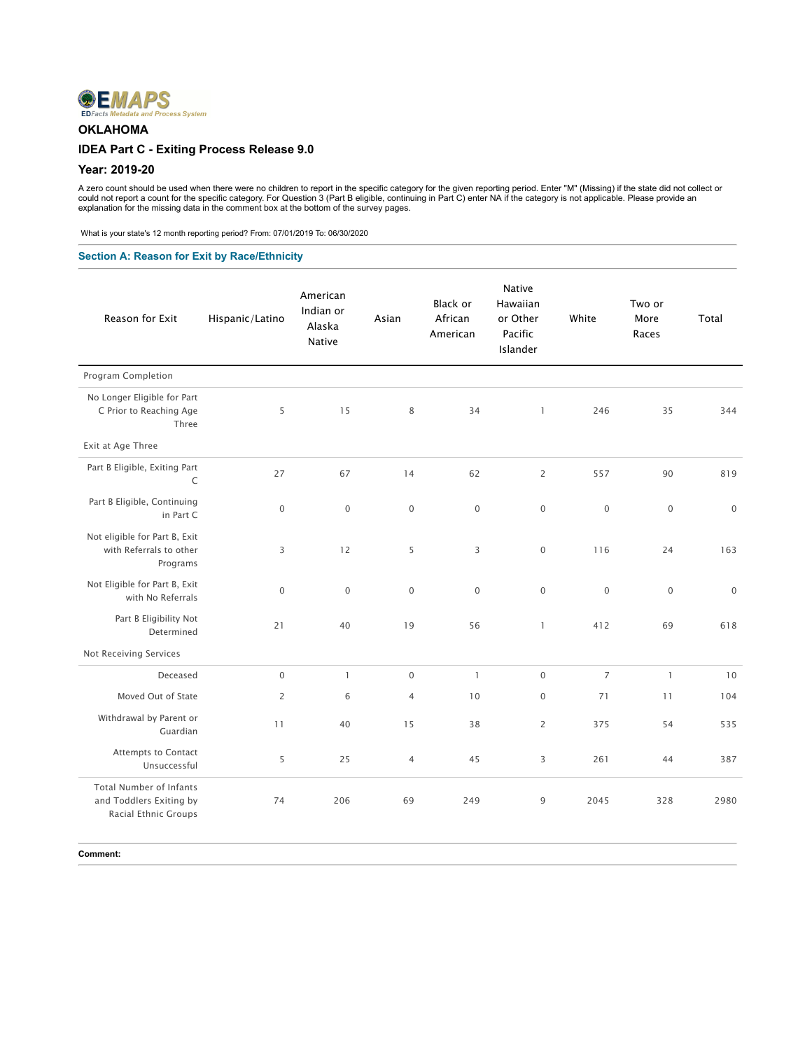

## **OKLAHOMA**

### **IDEA Part C - Exiting Process Release 9.0**

### **Year: 2019-20**

A zero count should be used when there were no children to report in the specific category for the given reporting period. Enter "M" (Missing) if the state did not collect or<br>could not report a count for the specific categ

What is your state's 12 month reporting period? From: 07/01/2019 To: 06/30/2020

## **Section A: Reason for Exit by Race/Ethnicity**

| Reason for Exit                                                                   | Hispanic/Latino | American<br>Indian or<br>Alaska<br>Native | Asian               | <b>Black or</b><br>African<br>American | <b>Native</b><br>Hawaiian<br>or Other<br>Pacific<br>Islander | White               | Two or<br>More<br>Races | Total       |
|-----------------------------------------------------------------------------------|-----------------|-------------------------------------------|---------------------|----------------------------------------|--------------------------------------------------------------|---------------------|-------------------------|-------------|
| Program Completion                                                                |                 |                                           |                     |                                        |                                                              |                     |                         |             |
| No Longer Eligible for Part<br>C Prior to Reaching Age<br>Three                   | 5               | 15                                        | $\,8\,$             | 34                                     | $\mathbf{1}$                                                 | 246                 | 35                      | 344         |
| Exit at Age Three                                                                 |                 |                                           |                     |                                        |                                                              |                     |                         |             |
| Part B Eligible, Exiting Part<br>C                                                | 27              | 67                                        | 14                  | 62                                     | $\overline{2}$                                               | 557                 | 90                      | 819         |
| Part B Eligible, Continuing<br>in Part C                                          | $\mathbf 0$     | $\mathbf 0$                               | $\mathbf 0$         | $\,0\,$                                | $\mathbf 0$                                                  | $\mathsf{O}\xspace$ | $\mathbf 0$             | $\mathbb O$ |
| Not eligible for Part B, Exit<br>with Referrals to other<br>Programs              | 3               | 12                                        | 5                   | 3                                      | $\mathbf 0$                                                  | 116                 | 24                      | 163         |
| Not Eligible for Part B, Exit<br>with No Referrals                                | $\mathbf 0$     | $\mathbf 0$                               | $\mathbf 0$         | $\mathbf{0}$                           | $\mathsf{O}\xspace$                                          | $\mathbf 0$         | $\mathbf 0$             | $\mathbf 0$ |
| Part B Eligibility Not<br>Determined                                              | 21              | 40                                        | 19                  | 56                                     | $\mathbf{1}$                                                 | 412                 | 69                      | 618         |
| Not Receiving Services                                                            |                 |                                           |                     |                                        |                                                              |                     |                         |             |
| Deceased                                                                          | $\mathbf 0$     | $\mathbf{1}$                              | $\mathsf{O}\xspace$ | $\mathbf{1}$                           | $\mathbf 0$                                                  | $\overline{7}$      | $\mathbf{1}$            | 10          |
| Moved Out of State                                                                | $\overline{2}$  | 6                                         | $\overline{4}$      | 10                                     | $\mathsf{O}\xspace$                                          | 71                  | 11                      | 104         |
| Withdrawal by Parent or<br>Guardian                                               | 11              | 40                                        | 15                  | 38                                     | $\overline{2}$                                               | 375                 | 54                      | 535         |
| Attempts to Contact<br>Unsuccessful                                               | 5               | 25                                        | $\overline{4}$      | 45                                     | 3                                                            | 261                 | 44                      | 387         |
| <b>Total Number of Infants</b><br>and Toddlers Exiting by<br>Racial Ethnic Groups | 74              | 206                                       | 69                  | 249                                    | 9                                                            | 2045                | 328                     | 2980        |
| Comment:                                                                          |                 |                                           |                     |                                        |                                                              |                     |                         |             |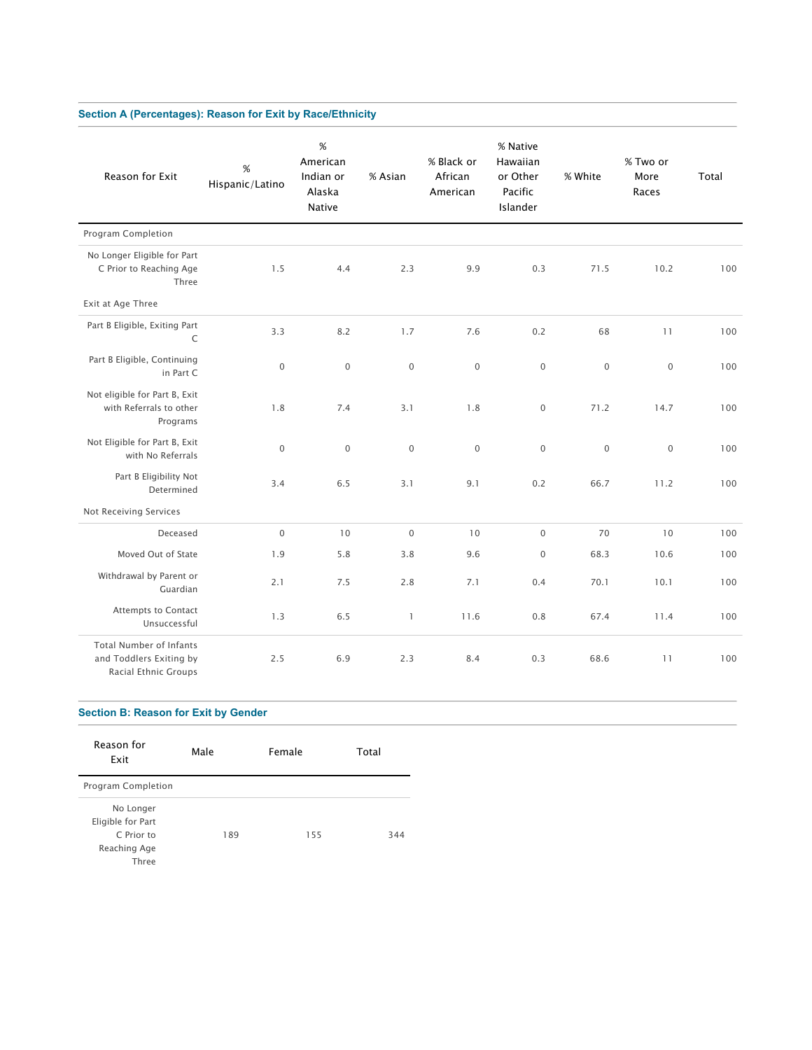# **Section A (Percentages): Reason for Exit by Race/Ethnicity**

| Reason for Exit                                                            | %<br>Hispanic/Latino | $\%$<br>American<br>Indian or<br>Alaska<br>Native | % Asian      | % Black or<br>African<br>American | % Native<br>Hawaiian<br>or Other<br>Pacific<br>Islander | % White     | % Two or<br>More<br>Races | Total |
|----------------------------------------------------------------------------|----------------------|---------------------------------------------------|--------------|-----------------------------------|---------------------------------------------------------|-------------|---------------------------|-------|
| Program Completion                                                         |                      |                                                   |              |                                   |                                                         |             |                           |       |
| No Longer Eligible for Part<br>C Prior to Reaching Age<br>Three            | 1.5                  | 4.4                                               | 2.3          | 9.9                               | 0.3                                                     | 71.5        | 10.2                      | 100   |
| Exit at Age Three                                                          |                      |                                                   |              |                                   |                                                         |             |                           |       |
| Part B Eligible, Exiting Part<br>C                                         | 3.3                  | 8.2                                               | 1.7          | 7.6                               | 0.2                                                     | 68          | 11                        | 100   |
| Part B Eligible, Continuing<br>in Part C                                   | $\mathbf 0$          | $\mathbf 0$                                       | $\mathbf 0$  | $\mathbf 0$                       | $\mathsf{O}\xspace$                                     | $\mathbf 0$ | $\mathbf 0$               | 100   |
| Not eligible for Part B, Exit<br>with Referrals to other<br>Programs       | 1.8                  | 7.4                                               | 3.1          | 1.8                               | $\mathsf{O}\xspace$                                     | 71.2        | 14.7                      | 100   |
| Not Eligible for Part B, Exit<br>with No Referrals                         | $\mathbf 0$          | $\overline{0}$                                    | $\mathbf{0}$ | $\mathbf{0}$                      | $\mathbf{0}$                                            | $\mathbf 0$ | $\mathbf 0$               | 100   |
| Part B Eligibility Not<br>Determined                                       | 3.4                  | 6.5                                               | 3.1          | 9.1                               | 0.2                                                     | 66.7        | 11.2                      | 100   |
| Not Receiving Services                                                     |                      |                                                   |              |                                   |                                                         |             |                           |       |
| Deceased                                                                   | $\mathbf 0$          | 10                                                | $\mathbf 0$  | 10                                | $\mathbf 0$                                             | 70          | 10                        | 100   |
| Moved Out of State                                                         | 1.9                  | 5.8                                               | 3.8          | 9.6                               | $\mathsf{O}\xspace$                                     | 68.3        | 10.6                      | 100   |
| Withdrawal by Parent or<br>Guardian                                        | 2.1                  | 7.5                                               | 2.8          | 7.1                               | 0.4                                                     | 70.1        | 10.1                      | 100   |
| Attempts to Contact<br>Unsuccessful                                        | 1.3                  | 6.5                                               | $\mathbf{1}$ | 11.6                              | 0.8                                                     | 67.4        | 11.4                      | 100   |
| Total Number of Infants<br>and Toddlers Exiting by<br>Racial Ethnic Groups | 2.5                  | 6.9                                               | 2.3          | 8.4                               | 0.3                                                     | 68.6        | 11                        | 100   |

## **Section B: Reason for Exit by Gender**

| Reason for<br>Exit                                                    | Male | Female | Total |
|-----------------------------------------------------------------------|------|--------|-------|
| Program Completion                                                    |      |        |       |
| No Longer<br>Eligible for Part<br>C Prior to<br>Reaching Age<br>Three | 189  | 155    | 344   |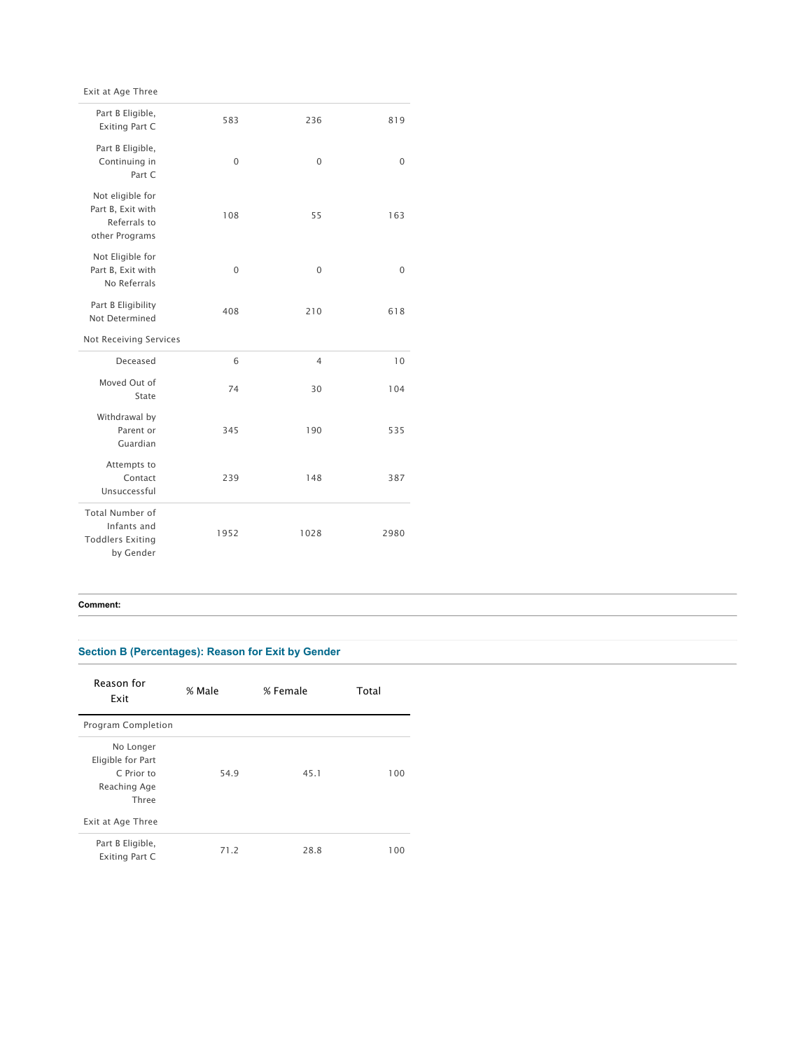Exit at Age Three

| Part B Eligible,<br><b>Exiting Part C</b>                               | 583      | 236            | 819      |
|-------------------------------------------------------------------------|----------|----------------|----------|
| Part B Eligible,<br>Continuing in<br>Part C                             | 0        | $\Omega$       | $\Omega$ |
| Not eligible for<br>Part B, Exit with<br>Referrals to<br>other Programs | 108      | 55             | 163      |
| Not Eligible for<br>Part B, Exit with<br>No Referrals                   | $\Omega$ | $\Omega$       | $\Omega$ |
| Part B Eligibility<br>Not Determined                                    | 408      | 210            | 618      |
|                                                                         |          |                |          |
| Not Receiving Services                                                  |          |                |          |
| Deceased                                                                | 6        | $\overline{4}$ | 10       |
| Moved Out of<br>State                                                   | 74       | 30             | 104      |
| Withdrawal by<br>Parent or<br>Guardian                                  | 345      | 190            | 535      |
| Attempts to<br>Contact<br>Unsuccessful                                  | 239      | 148            | 387      |

### **Comment:**

## **Section B (Percentages): Reason for Exit by Gender**

| Reason for<br>Exit                 | % Male | % Female | Total |
|------------------------------------|--------|----------|-------|
| Program Completion                 |        |          |       |
| No Longer                          |        |          |       |
| Eligible for Part                  |        |          |       |
| C Prior to                         | 54.9   | 45.1     | 100   |
| Reaching Age                       |        |          |       |
| Three                              |        |          |       |
| Exit at Age Three                  |        |          |       |
| Part B Eligible,<br>Exiting Part C | 71.2   | 28.8     | 100   |